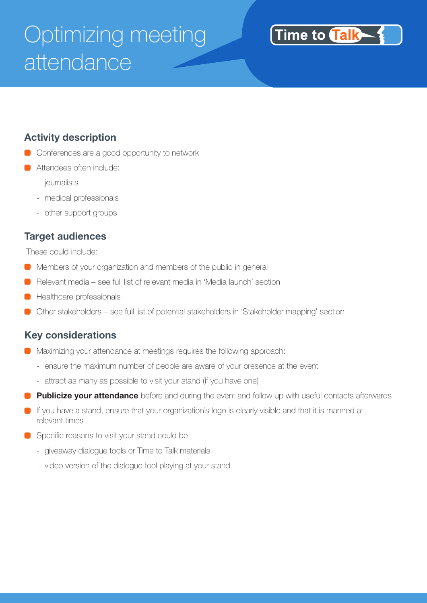# Optimizing meeting attendance



### **Activity description**

- Conferences are a good opportunity to network
- **C** Attendees often include:
	- journalists
	- medical professionals
	- other support groups

#### **Target audiences**

These could include:

- Members of your organization and members of the public in general
- Relevant media see full list of relevant media in 'Media launch' section
- Healthcare professionals
- Other stakeholders see full list of potential stakeholders in 'Stakeholder mapping' section

#### **Key considerations**

- **Maximizing your attendance at meetings requires the following approach:** 
	- ensure the maximum number of people are aware of your presence at the event
	- attract as many as possible to visit your stand (if you have one)
- **Publicize your attendance** before and during the event and follow up with useful contacts afterwards
- If you have a stand, ensure that your organization's logo is clearly visible and that it is manned at relevant times
- Specific reasons to visit your stand could be:
	- giveaway dialogue tools or Time to Talk materials
	- video version of the dialogue tool playing at your stand